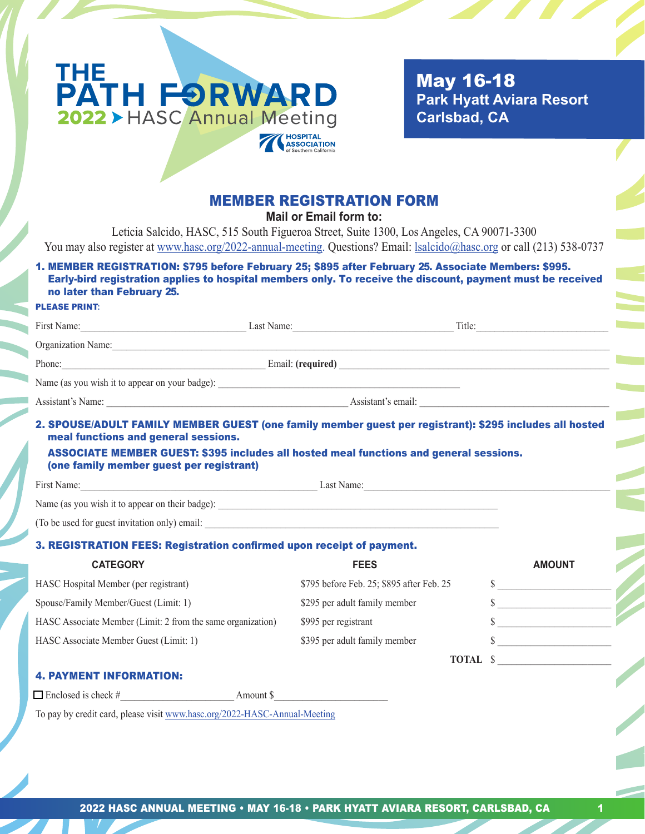

 May 16-18  **Park Hyatt Aviara Resort Carlsbad, CA**

# MEMBER REGISTRATION FORM

**Mail or Email form to:**

Leticia Salcido, HASC, 515 South Figueroa Street, Suite 1300, Los Angeles, CA 90071-3300 You may also register at www.hasc.org/2022-annual-meeting. Questions? Email: lsalcido@hasc.org or call (213) 538-0737

## 1. MEMBER REGISTRATION: \$795 before February 25; \$895 after February 25. Associate Members: \$995. Early-bird registration applies to hospital members only. To receive the discount, payment must be received no later than February 25.

#### PLEASE PRINT**:**

|                                                                                  | First Name: Last Name: Last Name:                                                             | Title: $\qquad \qquad$                                                                                                                                                                                                         |  |
|----------------------------------------------------------------------------------|-----------------------------------------------------------------------------------------------|--------------------------------------------------------------------------------------------------------------------------------------------------------------------------------------------------------------------------------|--|
|                                                                                  | Organization Name:                                                                            |                                                                                                                                                                                                                                |  |
|                                                                                  | Phone: Email: (required) Email: (required)                                                    |                                                                                                                                                                                                                                |  |
|                                                                                  |                                                                                               |                                                                                                                                                                                                                                |  |
|                                                                                  |                                                                                               |                                                                                                                                                                                                                                |  |
| meal functions and general sessions.<br>(one family member guest per registrant) | <b>ASSOCIATE MEMBER GUEST: \$395 includes all hosted meal functions and general sessions.</b> | 2. SPOUSE/ADULT FAMILY MEMBER GUEST (one family member guest per registrant): \$295 includes all hosted                                                                                                                        |  |
|                                                                                  |                                                                                               | First Name: Last Name: Last Name: Last Name: Last Name: Last Name: Last Name: Last Name: Last Name: Last Name: Last Name: Last Name: Last Name: Last Name: Last Name: Last Name: Last Name: Last Name: Last Name: Last Name: L |  |
|                                                                                  |                                                                                               |                                                                                                                                                                                                                                |  |
| (To be used for guest invitation only) email:                                    |                                                                                               |                                                                                                                                                                                                                                |  |

#### 3. REGISTRATION FEES: Registration confirmed upon receipt of payment.

| <b>CATEGORY</b>                                             | <b>FEES</b>                               | <b>AMOUNT</b> |
|-------------------------------------------------------------|-------------------------------------------|---------------|
| HASC Hospital Member (per registrant)                       | \$795 before Feb. 25; \$895 after Feb. 25 |               |
| Spouse/Family Member/Guest (Limit: 1)                       | \$295 per adult family member             |               |
| HASC Associate Member (Limit: 2 from the same organization) | \$995 per registrant                      |               |
| HASC Associate Member Guest (Limit: 1)                      | \$395 per adult family member             |               |
|                                                             | <b>TOTAL</b> \$                           |               |

#### 4. PAYMENT INFORMATION:

 $\Box$  Enclosed is check #  $\Box$ 

To pay by credit card, please visit www.hasc.org/2022-HASC-Annual-Meeting